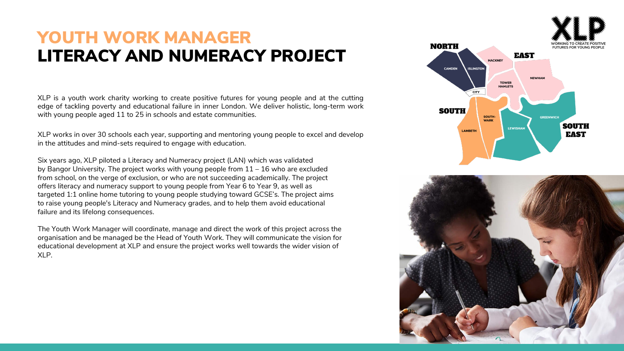## LITERACY AND NUMERACY PROJECT YOUTH WORK MANAGER

XLP is a youth work charity working to create positive futures for young people and at the cutting edge of tackling poverty and educational failure in inner London. We deliver holistic, long-term work with young people aged 11 to 25 in schools and estate communities.

XLP works in over 30 schools each year, supporting and mentoring young people to excel and develop in the attitudes and mind-sets required to engage with education.

Six years ago, XLP piloted a Literacy and Numeracy project (LAN) which was validated by Bangor University. The project works with young people from  $11 - 16$  who are excluded from school, on the verge of exclusion, or who are not succeeding academically. The project offers literacy and numeracy support to young people from Year 6 to Year 9, as well as targeted 1:1 online home tutoring to young people studying toward GCSE's. The project aims to raise young people's Literacy and Numeracy grades, and to help them avoid educational failure and its lifelong consequences.

The Youth Work Manager will coordinate, manage and direct the work of this project across the organisation and be managed be the Head of Youth Work. They will communicate the vision for educational development at XLP and ensure the project works well towards the wider vision of XLP.

**NORTH FUTURES FOR YOUNG PE EAST HACKNEY** CAMDEN **ISLINGTO NEWHAM TOWER HAMLETS CITY SOUTH** SOUTH-**WARK SOUTH LEWISHAM LAMBETH EAST** 

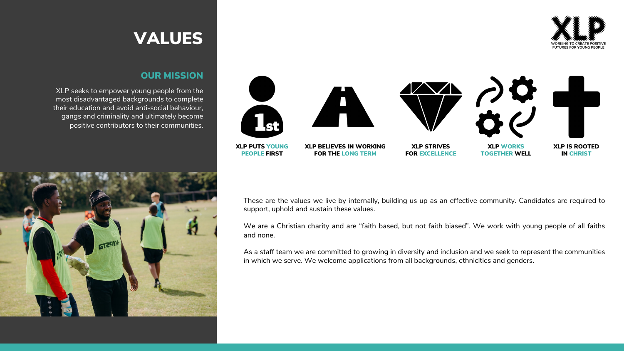

### OUR MISSION

XLP seeks to empower young people from the most disadvantaged backgrounds to complete their education and avoid anti-social behaviour, gangs and criminality and ultimately become positive contributors to their communities.





These are the values we live by internally, building us up as an effective community. Candidates are required to support, uphold and sustain these values.

We are a Christian charity and are "faith based, but not faith biased". We work with young people of all faiths and none.

As a staff team we are committed to growing in diversity and inclusion and we seek to represent the communities in which we serve. We welcome applications from all backgrounds, ethnicities and genders.

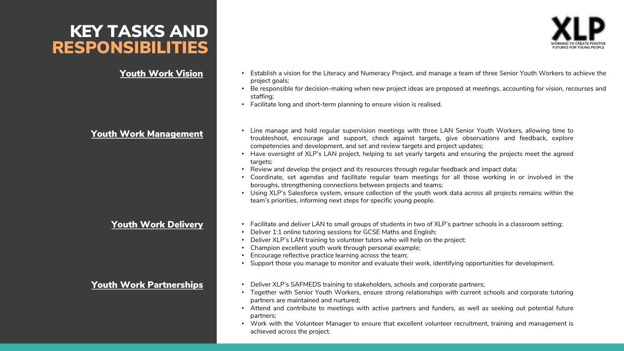### KEY TASKS AND RESPONSIBILITIES

- Youth Work Vision Establish a vision for the Literacy and Numeracy Project, and manage a team of three Senior Youth Workers to achieve the project goals;
	- Be responsible for decision-making when new project ideas are proposed at meetings, accounting for vision, recourses and staffing;
	- Facilitate long and short-term planning to ensure vision is realised.
- Youth Work Management Line manage and hold regular supervision meetings with three LAN Senior Youth Workers, allowing time to troubleshoot, encourage and support, check against targets, give observations and feedback, explore competencies and development, and set and review targets and project updates;
	- Have oversight of XLP's LAN project, helping to set yearly targets and ensuring the projects meet the agreed targets;
	- Review and develop the project and its resources through regular feedback and impact data;
	- Coordinate, set agendas and facilitate regular team meetings for all those working in or involved in the boroughs, strengthening connections between projects and teams;
	- Using XLP's Salesforce system, ensure collection of the youth work data across all projects remains within the team's priorities, informing next steps for specific young people.
	- Youth Work Delivery **•** Facilitate and deliver LAN to small groups of students in two of XLP's partner schools in a classroom setting;
		- Deliver 1:1 online tutoring sessions for GCSE Maths and English;
		- Deliver XLP's LAN training to volunteer tutors who will help on the project;
		- Champion excellent youth work through personal example;
		- Encourage reflective practice learning across the team;
		- Support those you manage to monitor and evaluate their work, identifying opportunities for development.
- Youth Work Partnerships Deliver XLP's SAFMEDS training to stakeholders, schools and corporate partners;
	- Together with Senior Youth Workers, ensure strong relationships with current schools and corporate tutoring partners are maintained and nurtured;
	- Attend and contribute to meetings with active partners and funders, as well as seeking out potential future partners;
	- Work with the Volunteer Manager to ensure that excellent volunteer recruitment, training and management is achieved across the project.

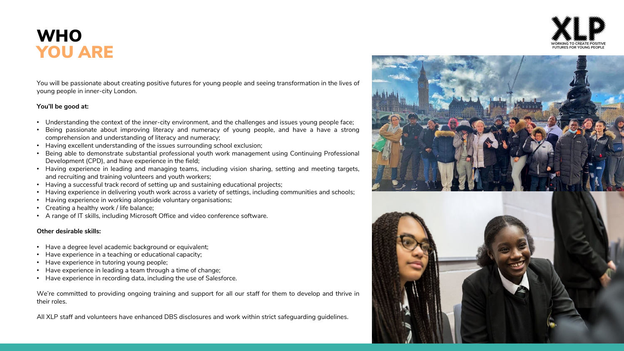## **WHO** YOU ARE

You will be passionate about creating positive futures for young people and seeing transformation in the lives of young people in inner-city London.

### **You'll be good at:**

- Understanding the context of the inner-city environment, and the challenges and issues young people face;
- Being passionate about improving literacy and numeracy of young people, and have a have a strong comprehension and understanding of literacy and numeracy;
- Having excellent understanding of the issues surrounding school exclusion;
- Being able to demonstrate substantial professional youth work management using Continuing Professional Development (CPD), and have experience in the field;
- Having experience in leading and managing teams, including vision sharing, setting and meeting targets, and recruiting and training volunteers and youth workers;
- Having a successful track record of setting up and sustaining educational projects;
- Having experience in delivering youth work across a variety of settings, including communities and schools;
- Having experience in working alongside voluntary organisations;
- Creating a healthy work / life balance;
- A range of IT skills, including Microsoft Office and video conference software.

### **Other desirable skills:**

- Have a degree level academic background or equivalent;
- Have experience in a teaching or educational capacity;
- Have experience in tutoring young people;
- Have experience in leading a team through a time of change;
- Have experience in recording data, including the use of Salesforce.

We're committed to providing ongoing training and support for all our staff for them to develop and thrive in their roles.

All XLP staff and volunteers have enhanced DBS disclosures and work within strict safeguarding guidelines.